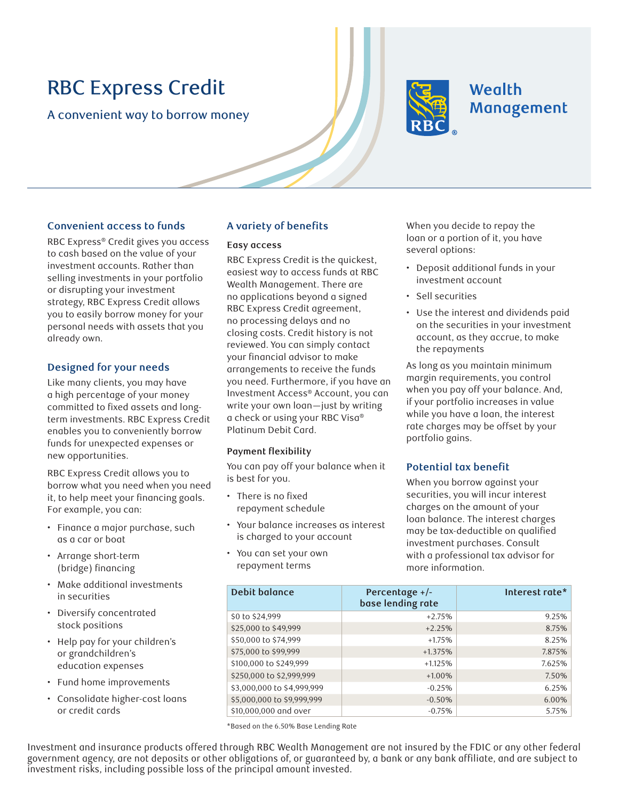# RBC Express Credit

A convenient way to borrow money



# Wealth Management

# **Convenient access to funds**

RBC Express® Credit gives you access to cash based on the value of your investment accounts. Rather than selling investments in your portfolio or disrupting your investment strategy, RBC Express Credit allows you to easily borrow money for your personal needs with assets that you already own.

# **Designed for your needs**

Like many clients, you may have a high percentage of your money committed to fixed assets and longterm investments. RBC Express Credit enables you to conveniently borrow funds for unexpected expenses or new opportunities.

RBC Express Credit allows you to borrow what you need when you need it, to help meet your financing goals. For example, you can:

- Finance a major purchase, such as a car or boat
- Arrange short-term (bridge) financing
- Make additional investments in securities
- Diversify concentrated stock positions
- Help pay for your children's or grandchildren's education expenses
- Fund home improvements
- Consolidate higher-cost loans or credit cards

# **A variety of benefits**

#### **Easy access**

RBC Express Credit is the quickest, easiest way to access funds at RBC Wealth Management. There are no applications beyond a signed RBC Express Credit agreement, no processing delays and no closing costs. Credit history is not reviewed. You can simply contact your financial advisor to make arrangements to receive the funds you need. Furthermore, if you have an Investment Access® Account, you can write your own loan—just by writing a check or using your RBC Visa® Platinum Debit Card.

#### **Payment flexibility**

You can pay off your balance when it is best for you.

- There is no fixed repayment schedule
- Your balance increases as interest is charged to your account
- You can set your own repayment terms

When you decide to repay the loan or a portion of it, you have several options:

- Deposit additional funds in your investment account
- Sell securities
- Use the interest and dividends paid on the securities in your investment account, as they accrue, to make the repayments

As long as you maintain minimum margin requirements, you control when you pay off your balance. And, if your portfolio increases in value while you have a loan, the interest rate charges may be offset by your portfolio gains.

## **Potential tax benefit**

When you borrow against your securities, you will incur interest charges on the amount of your loan balance. The interest charges may be tax-deductible on qualified investment purchases. Consult with a professional tax advisor for more information.

| Debit balance              | Percentage $+/-$<br>base lending rate | Interest rate* |
|----------------------------|---------------------------------------|----------------|
| \$0 to \$24,999            | $+2.75%$                              | 9.25%          |
| \$25,000 to \$49,999       | $+2.25%$                              | 8.75%          |
| \$50,000 to \$74,999       | $+1.75%$                              | 8.25%          |
| \$75,000 to \$99,999       | $+1.375%$                             | 7.875%         |
| \$100,000 to \$249,999     | $+1.125%$                             | 7.625%         |
| \$250,000 to \$2,999,999   | $+1.00%$                              | 7.50%          |
| \$3,000,000 to \$4,999,999 | $-0.25%$                              | 6.25%          |
| \$5,000,000 to \$9,999,999 | $-0.50%$                              | 6.00%          |
| \$10,000,000 and over      | $-0.75%$                              | 5.75%          |

\*Based on the 6.50% Base Lending Rate

Investment and insurance products offered through RBC Wealth Management are not insured by the FDIC or any other federal government agency, are not deposits or other obligations of, or guaranteed by, a bank or any bank affiliate, and are subject to investment risks, including possible loss of the principal amount invested.